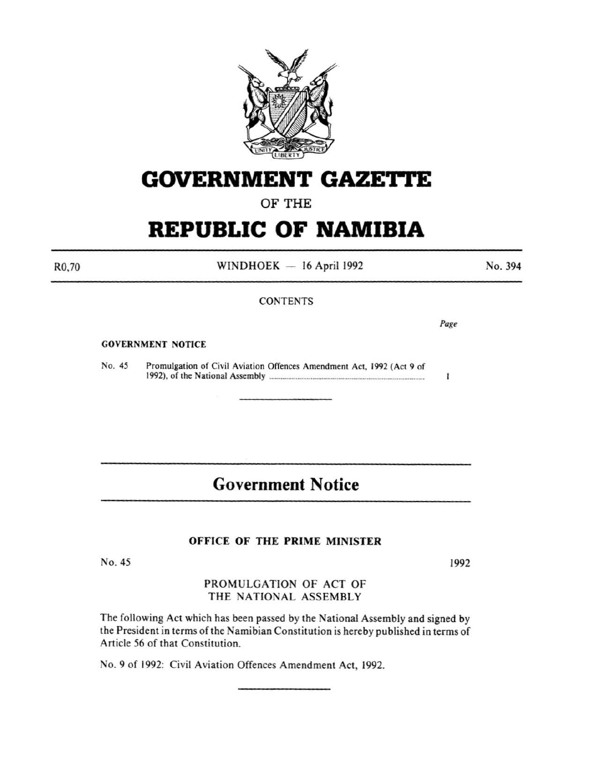

# **GOVERNMENT GAZE'ri'E**

# OF THE

# **REPUBLIC OF NAMIBIA**

R0,70

 $WINDHOEK - 16$  April 1992

**CONTENTS** 

#### No. 394

GOVERNMENT NOTICE

No. 45 Promulgation of Civil Aviation Offences Amendment Act, 1992 (Act 9 of 1992), of the National Assembly .................................................................................. .  $\mathbf{I}$ 

# **Government Notice**

### OFFICE OF THE PRIME MINISTER

No. 45

1992

PROMULGATION OF ACT OF THE NATIONAL ASSEMBLY

The following Act which has been passed by the National Assembly and signed by the President in terms of the Namibian Constitution is hereby published in terms of Article 56 of that Constitution.

No.9 of 1992: Civil Aviation Offences Amendment Act, 1992.

*Page*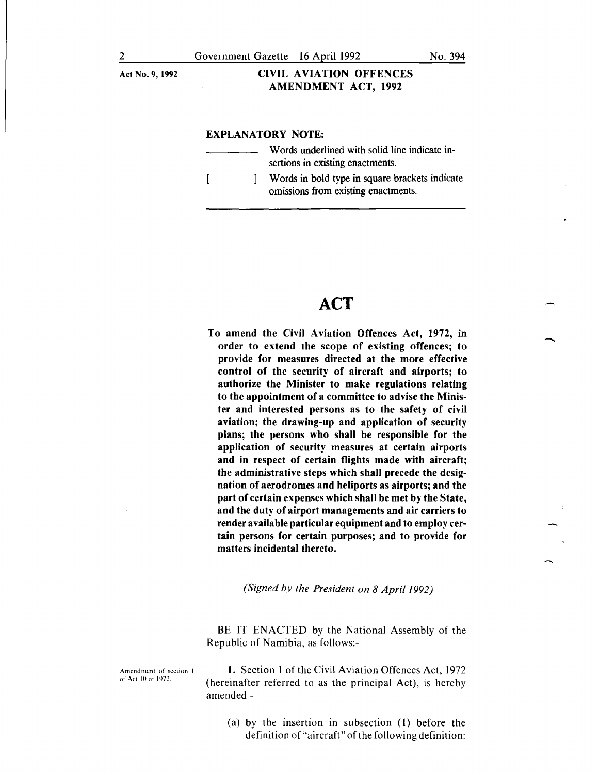#### Act No.9, 1992 CIVIL AVIATION OFFENCES AMENDMENT ACT, 1992

#### EXPLANATORY NOTE:

Words underlined with solid line indicate insertions in existing enactments. Words in bold type in square brackets indicate  $\sqrt{ }$  $\mathbf{I}$ omissions from existing enactments.

# **ACT**

To amend the Civil Aviation Offences Act, 1972, in order to extend the scope of existing offences; to provide for measures directed at the more effective control of the security of aircraft and airports; to authorize the Minister to make regulations relating to the appointment of a committee to advise the Minister and interested persons as to the safety of civil aviation; the drawing-up and application of security plans; the persons who shall be responsible for the application of security measures at certain airports and in respect of certain flights made with aircraft; the administrative steps which shall precede the designation of aerodromes and heliports as airports; and the part of certain expenses which shall be met by the State, and the duty of airport managements and air carriers to render available particular equipment and to employ certain persons for certain purposes; and to provide for matters incidental thereto.

*(Signed by the President on 8 April 1992)* 

BE IT ENACTED by the National Assembly of the Republic of Namibia, as follows:-

Amendment of section I of Act 10 of 1972.

1. Section l of the Civil Aviation Offences Act, 1972 (hereinafter referred to as the principal Act), is hereby amended-

(a) by the insertion in subsection (l) before the definition of"aircraft" of the following definition:

-

 $\overline{\phantom{a}}$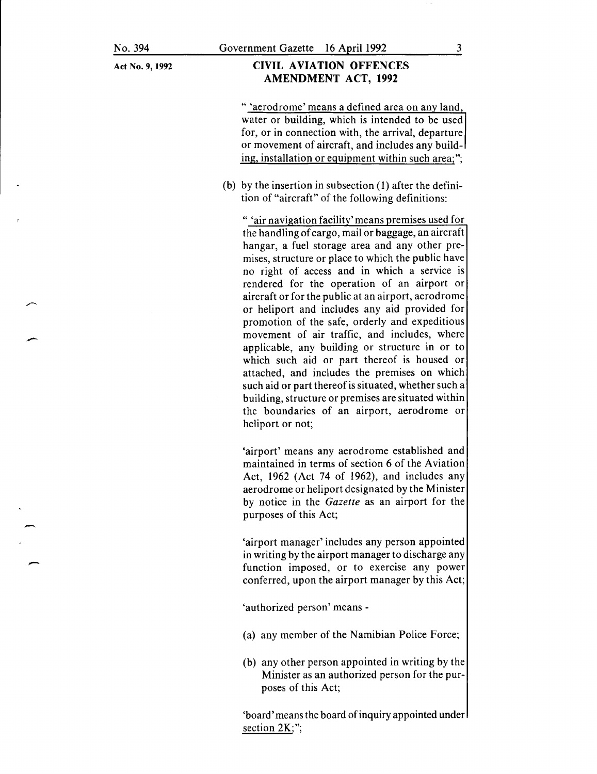-

-

-

Act No. 9, 1992

#### CIVIL AVIATION OFFENCES AMENDMENT ACT, 1992

" 'aerodrome' means a defined area on any land, water or building, which is intended to be used for, or in connection with, the arrival, departure or movement of aircraft, and includes any building, installation or equipment within such area;";

(b) by the insertion in subsection (1) after the definition of "aircraft" of the following definitions:

" 'air navigation facility' means premises used for the handling of cargo, mail or baggage, an aircraft hangar, a fuel storage area and any other premises, structure or place to which the public have no right of access and in which a service is rendered for the operation of an airport or aircraft or for the public at an airport, aerodrome or heliport and includes any aid provided for promotion of the safe, orderly and expeditious movement of air traffic, and includes, where applicable, any building or structure in or to which such aid or part thereof is housed or attached, and includes the premises on which such aid or part thereof is situated, whether such a building, structure or premises are situated within the boundaries of an airport, aerodrome or heliport or not;

'airport' means any aerodrome established and maintained in terms of section 6 of the Aviation Act, 1962 (Act 74 of 1962), and includes any aerodrome or heliport designated by the Minister by notice in the *Gazette* as an airport for the purposes of this Act;

'airport manager' includes any person appointed in writing by the airport manager to discharge any function imposed, or to exercise any power conferred, upon the airport manager by this Act;

'authorized person' means-

- (a) any member of the Namibian Police Force;
- (b) any other person appointed in writing by the Minister as an authorized person for the purposes of this Act;

'board' means the board of inquiry appointed under section 2K;";

3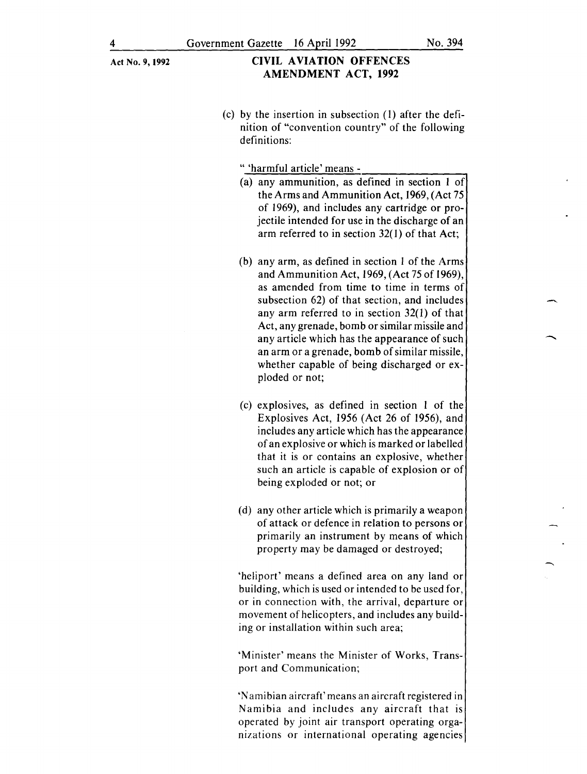## Act No. 9, 1992 CIVIL AVIATION OFFENCES AMENDMENT ACT, 1992

(c) by the insertion in subsection (I) after the definition of "convention country" of the following definitions:

" 'harmful article' means -

- (a) any ammunition, as defined in section I of the Arms and Ammunition Act, 1969, (Act 75 of 1969), and includes any cartridge or projectile intended for use in the discharge of an arm referred to in section 32(1) of that Act;
- (b) any arm, as defined in section I of the Arms and Ammunition Act, 1969, (Act 75 of 1969), as amended from time to time in terms of subsection 62) of that section, and includes any arm referred to in section 32(1) of that Act, any grenade, bomb or similar missile and any article which has the appearance of such an arm or a grenade, bomb of similar missile, whether capable of being discharged or exploded or not;
- (c) explosives, as defined in section I of the Explosives Act, 1956 (Act 26 of 1956), and includes any article which has the appearance of an explosive or which is marked or labelled that it is or contains an explosive, whether such an article is capable of explosion or of being exploded or not; or
- (d) any other article which is primarily a weapon of attack or defence in relation to persons or primarily an instrument by means of which property may be damaged or destroyed;

'heliport' means a defined area on any land or building, which is used or intended to be used for, or in connection with, the arrival, departure or movement of helicopters, and includes any building or installation within such area;

'Minister' means the Minister of Works, Transport and Communication;

'Namibian aircraft' means an aircraft registered in Namibia and includes any aircraft that is operated by joint air transport operating organizations or international operating agencies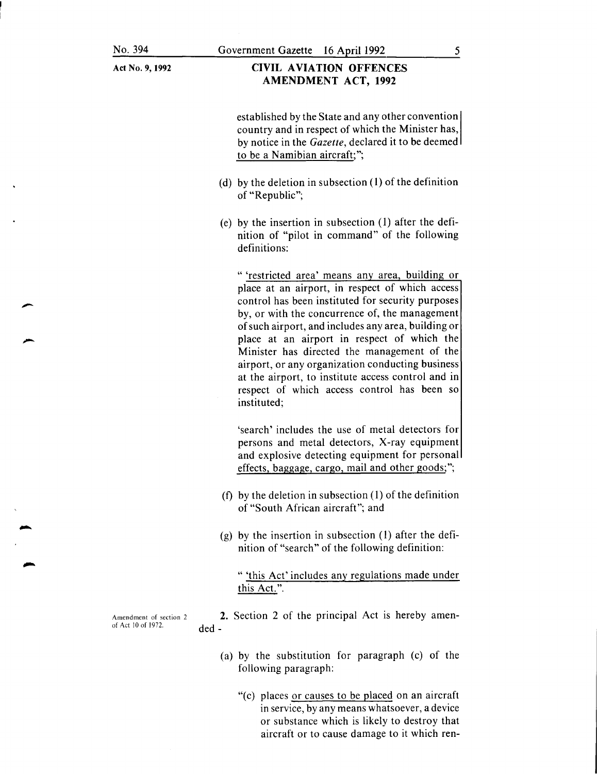#### CIVIL AVIATION OFFENCES AMENDMENT ACT, 1992

established by the State and any other convention country and in respect of which the Minister has, by notice in the *Gazette,* declared it to be deemed to be a Namibian aircraft;";

- (d) by the deletion in subsection (1) of the definition of "Republic";
- (e) by the insertion in subsection (1) after the definition of "pilot in command" of the following definitions:

" 'restricted area' means any area, building or place at an airport, in respect of which access control has been instituted for security purposes by, or with the concurrence of, the management of such airport, and includes any area, building or place at an airport in respect of which the Minister has directed the management of the airport, or any organization conducting business at the airport, to institute access control and in respect of which access control has been so instituted;

'search' includes the use of metal detectors for persons and metal detectors, X-ray equipment and explosive detecting equipment for personal effects, baggage, cargo, mail and other goods;";

- (f) by the deletion in subsection (1) of the definition of "South African aircraft"; and
- (g) by the insertion in subsection (1) after the definition of "search" of the following definition:

" 'this Act' includes any regulations made under this Act.".

2. Section 2 of the principal Act is hereby amended-

- (a) by the substitution for paragraph (c) of the following paragraph:
	- "(c) places or causes to be placed on an aircraft in service, by any means whatsoever, a device or substance which is likely to destroy that aircraft or to cause damage to it which ren-

Amendment of section 2 of Act 10 of 1972.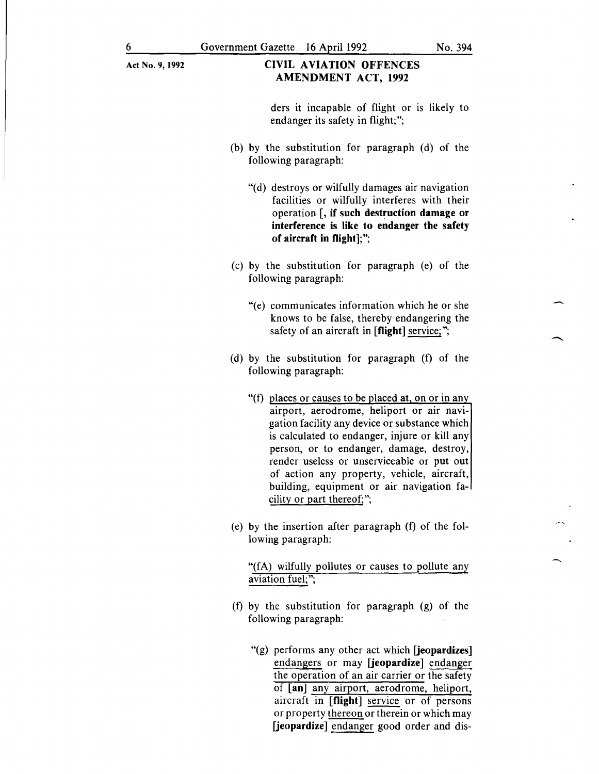#### **CIVIL AVIATION OFFENCES AMENDMENT ACT, 1992**

ders it incapable of flight or is likely to endanger its safety in flight;";

- (b) by the substitution for paragraph (d) of the following paragraph:
	- "(d) destroys or wilfully damages air navigation facilities or wilfully interferes with their operation [, **if such destruction damage or interference is like to endanger the safety of aircraft in flight];";**
- (c) by the substitution for paragraph (e) of the following paragraph:
	- "(e) communicates information which he or she knows to be false, thereby endangering the safety of an aircraft in **[flight]** service;";
- (d) by the substitution for paragraph (f) of the following paragraph:
	- "(f) places or causes to be placed at, on or in any airport, aerodrome, heliport or air navigation facility any device or substance which is calculated to endanger, injure or kill any person, or to endanger, damage, destroy, render useless or unserviceable or put out of action any property, vehicle, aircraft, building, equipment or air navigation facility or part thereof;";
- (e) by the insertion after paragraph (f) of the following paragraph:

"(fA) wilfully pollutes or causes to pollute any aviation fuel;";

- (f) by the substitution for paragraph (g) of the following paragraph:
	- "(g) performs any other act which **[jeopardizes]**  endangers or may **[jeopardize]** endanger the operation of an air carrier or the safety of **[an]** any airport, aerodrome, heliport, aircraft in **[flight]** service or of persons or property thereon or therein or which may **[jeopardize]** endanger good order and dis-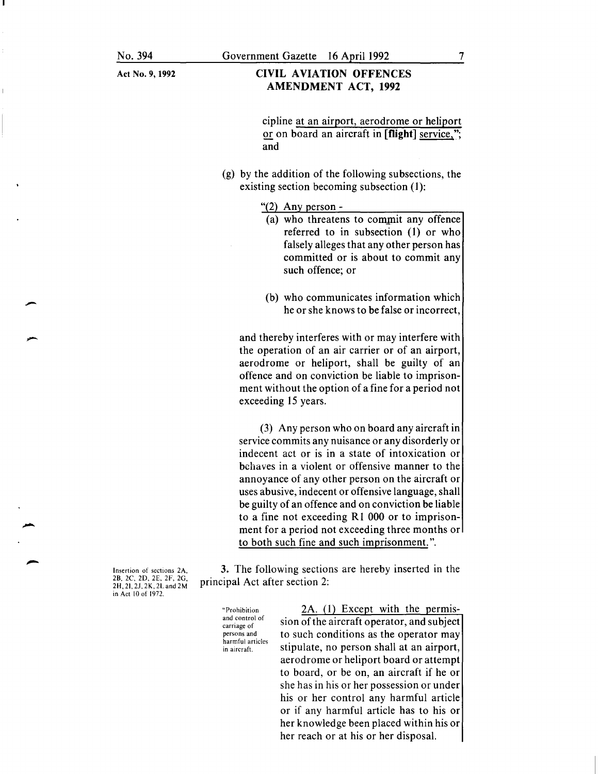-

#### CIVIL AVIATION OFFENCES AMENDMENT ACT, 1992

cipline at an airport, aerodrome or heliport or on board an aircraft in  $[flight]$  service,"; and

(g) by the addition of the following subsections, the existing section becoming subsection (1):

" $(2)$  Any person -

- $(a)$  who threatens to commit any offence referred to in subsection (1) or who falsely alleges that any other person has committed or is about to commit any such offence; or
- (b) who communicates information which he or she knows to be false or incorrect,

and thereby interferes with or may interfere with the operation of an air carrier or of an airport, aerodrome or heliport, shall be guilty of an offence and on conviction be liable to imprisonment without the option of a fine for a period not exceeding 15 years.

(3) Any person who on board any aircraft in service commits any nuisance or any disorderly or indecent act or is in a state of intoxication or behaves in a violent or offensive manner to the annoyance of any other person on the aircraft or uses abusive, indecent or offensive language, shall be guilty of an offence and on conviction be liable to a fine not exceeding R1 000 or to imprisonment for a period not exceeding three months or to both such fine and such imprisonment.".

3. The following sections are hereby inserted in the principal Act after section 2:

"Prohibition and control of carriage of persons and harmful articles in aircraft

2A. (1) Except with the permission of the aircraft operator, and subject to such conditions as the operator may stipulate, no person shall at an airport, aerodrome or heliport board or attempt to board, or be on, an aircraft if he or she has in his or her possession or under his or her control any harmful article or if any harmful article has to his or her knowledge been placed within his or her reach or at his or her disposal.

Insertion of sections 2A, 2B, 2C, 20, 2E, 2F, 2G, 2H, 21, *21,* 2K, 2L and 2M in Act 10 of 1972.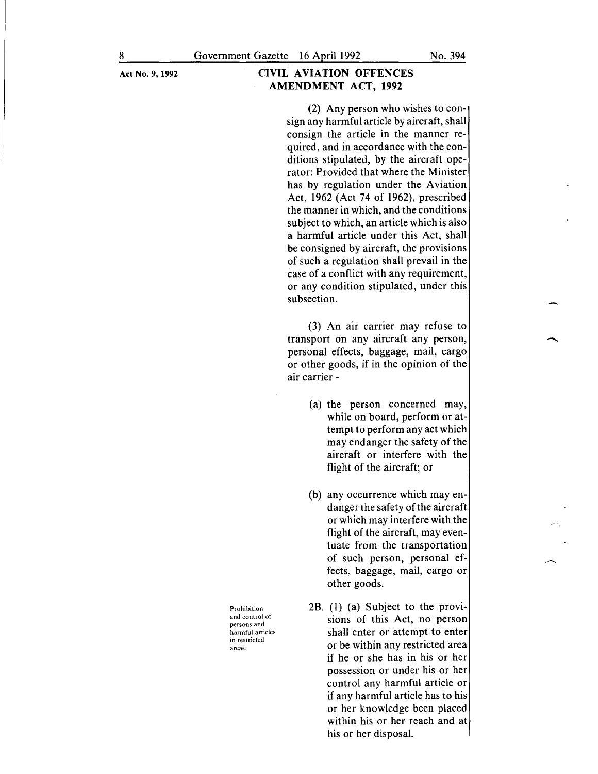(2) Any person who wishes to consign any harmful article by aircraft, shall consign the article in the manner required, and in accordance with the conditions stipulated, by the aircraft operator: Provided that where the Minister has by regulation under the Aviation Act, 1962 (Act 74 of 1962), prescribed the manner in which, and the conditions subject to which, an article which is also a harmful article under this Act, shall be consigned by aircraft, the provisions of such a regulation shall prevail in the case of a conflict with any requirement, or any condition stipulated, under this subsection.

(3) An air carrier may refuse to transport on any aircraft any person, personal effects, baggage, mail, cargo or other goods, if in the opinion of the air carrier -

- (a) the person concerned may, while on board, perform or attempt to perform any act which may endanger the safety of the aircraft or interfere with the flight of the aircraft; or
- (b) any occurrence which may endanger the safety of the aircraft or which may interfere with the flight of the aircraft, may eventuate from the transportation of such person, personal effects, baggage, mail, cargo or other goods.
- 2B. (1) (a) Subject to the provisions of this Act, no person shall enter or attempt to enter or be within any restricted area if he or she has in his or her possession or under his or her control any harmful article or if any harmful article has to his or her knowledge been placed within his or her reach and at his or her disposal.

Prohibition and control of persons and harmful articles in restricted areas.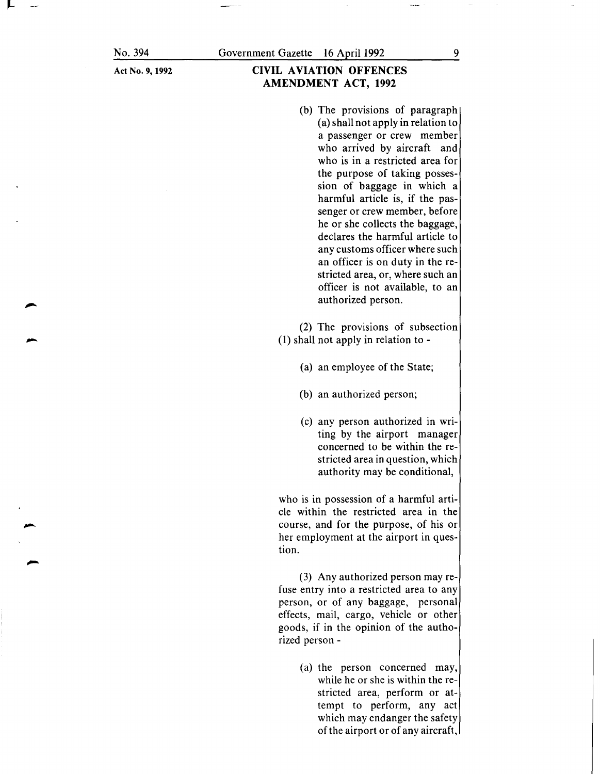No. 394

# CIVIL AVIATION OFFENCES AMENDMENT ACT, 1992

(b) The provisions of paragraph (a) shall not apply in relation to a passenger or crew member who arrived by aircraft and who is in a restricted area for the purpose of taking possession of baggage in which a harmful article is, if the passenger or crew member, before he or she collects the baggage, declares the harmful article to any customs officer where such an officer is on duty in the restricted area, or, where such an officer is not available, to an authorized person.

(2) The provisions of subsection (1) shall not apply in relation to-

- (a) an employee of the State;
- (b) an authorized person;
- (c) any person authorized in writing by the airport manager concerned to be within the restricted area in question, which authority may be conditional,

who is in possession of a harmful article within the restricted area in the course, and for the purpose, of his or her employment at the airport in question.

(3) Any authorized person may refuse entry into a restricted area to any person, or of any baggage, personal effects, mail, cargo, vehicle or other goods, if in the opinion of the authorized person -

> (a) the person concerned may, while he or she is within the restricted area, perform or attempt to perform, any act which may endanger the safety of the airport or of any aircraft,

9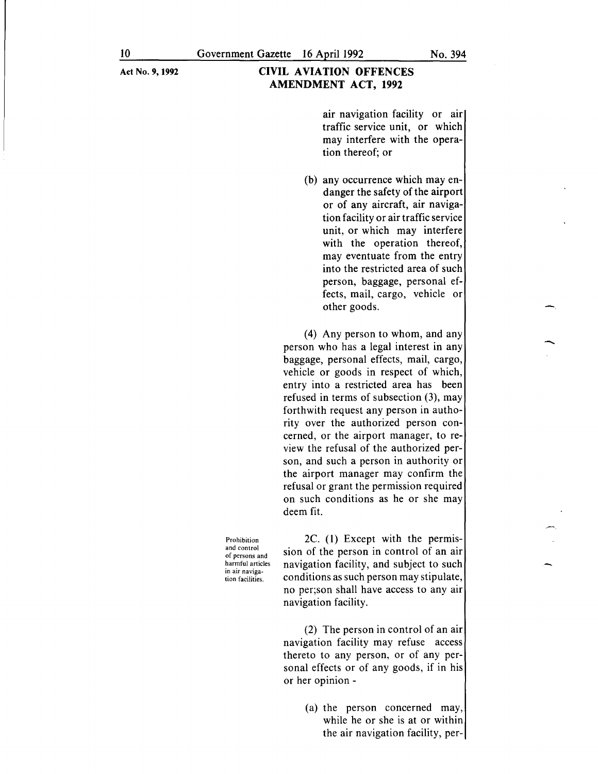# CIVIL AVIATION OFFENCES AMENDMENT ACT, 1992

air navigation facility or air traffic service unit, or which may interfere with the operation thereof; or

(b) any occurrence which may endanger the safety of the airport or of any aircraft, air navigation facility or air traffic service unit, or which may interfere with the operation thereof, may eventuate from the entry into the restricted area of such person, baggage, personal effects, mail, cargo, vehicle or other goods.

(4) Any person to whom, and any person who has a legal interest in any baggage, personal effects, mail, cargo, vehicle or goods in respect of which, entry into a restricted area has been refused in terms of subsection (3), may forthwith request any person in authority over the authorized person concerned, or the airport manager, to review the refusal of the authorized person, and such a person in authority or the airport manager may confirm the refusal or grant the permission required on such conditions as he or she may deem fit.

Prohibition and control of persons and harmful articles in air navigation facilities.

2C. (1) Except with the permission of the person in control of an air navigation facility, and subject to such conditions as such person may stipulate, no per;son shall have access to any air navigation facility.

(2) The person in control of an air navigation facility may refuse access thereto to any person, or of any personal effects or of any goods, if in his or her opinion -

> (a) the person concerned may, while he or she is at or within the air navigation facility, per

-<br>-<br>-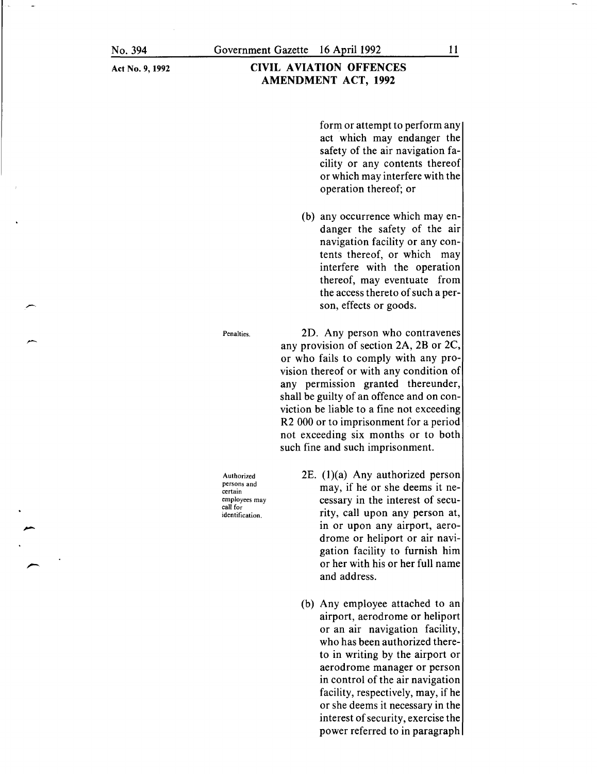### CIVIL AVIATION OFFENCES AMENDMENT ACT, 1992

form or attempt to perform any act which may endanger the safety of the air navigation facility or any contents thereof or which may interfere with the operation thereof; or

(b) any occurrence which may endanger the safety of the air navigation facility or any contents thereof, or which may interfere with the operation thereof, may eventuate from the access thereto of such a person, effects or goods.

2D. Any person who contravenes any provision of section 2A, 2B or 2C, or who fails to comply with any provision thereof or with any condition of any permission granted thereunder, shall be guilty of an offence and on conviction be liable to a fine not exceeding R2 000 or to imprisonment for a period not exceeding six months or to both such fine and such imprisonment.

Authorized persons and certain employees may call for identification.

Penalties.

- 2E.  $(1)(a)$  Any authorized person may, if he or she deems it necessary in the interest of security, call upon any person at, in or upon any airport, aerodrome or heliport or air navigation facility to furnish him or her with his or her full name and address.
- (b) Any employee attached to an airport, aerodrome or heliport or an air navigation facility, who has been authorized thereto in writing by the airport or aerodrome manager or person in control of the air navigation facility, respectively, may, if he or she deems it necessary in the interest of security, exercise the power referred to in paragraph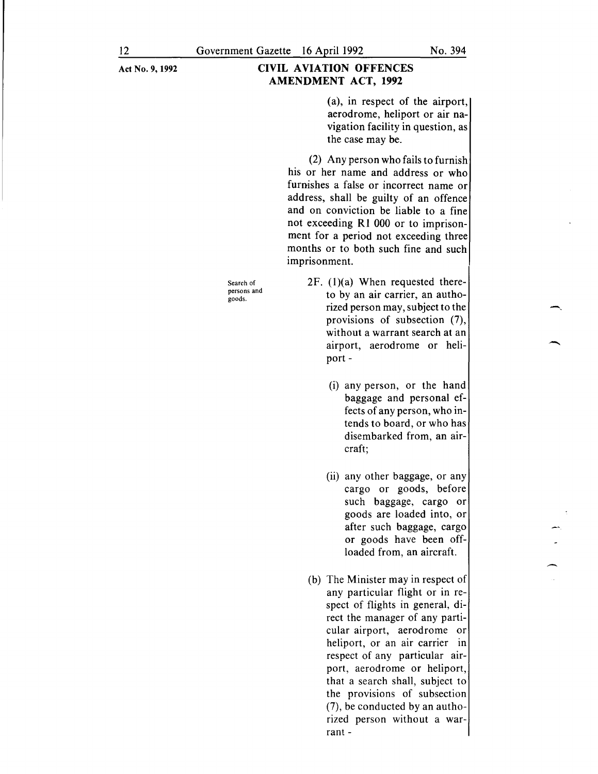## CIVIL AVIATION OFFENCES AMENDMENT ACT, 1992

(a), in respect of the airport, aerodrome, heliport or air navigation facility in question, as the case may be.

(2) Any person who fails to furnish his or her name and address or who furnishes a false or incorrect name or address, shall be guilty of an offence and on conviction be liable to a fine not exceeding R1 000 or to imprisonment for a period not exceeding three months or to both such fine and such imprisonment.

Search of persons and goods.

- $2F.$  (1)(a) When requested thereto by an air carrier, an authorized person may, subject to the provisions of subsection (7), without a warrant search at an airport, aerodrome or heliport-
	- (i) any person, or the hand baggage and personal effects of any person, who intends to board, or who has disembarked from, an aircraft;
	- (ii) any other baggage, or any cargo or goods, before such baggage, cargo or goods are loaded into, or after such baggage, cargo or goods have been offloaded from, an aircraft.
- (b) The Minister may in respect of any particular flight or in respect of flights in general, direct the manager of any particular airport, aerodrome or heliport, or an air carrier in respect of any particular airport, aerodrome or heliport, that a search shall, subject to the provisions of subsection (7), be conducted by an authorized person without a warrant-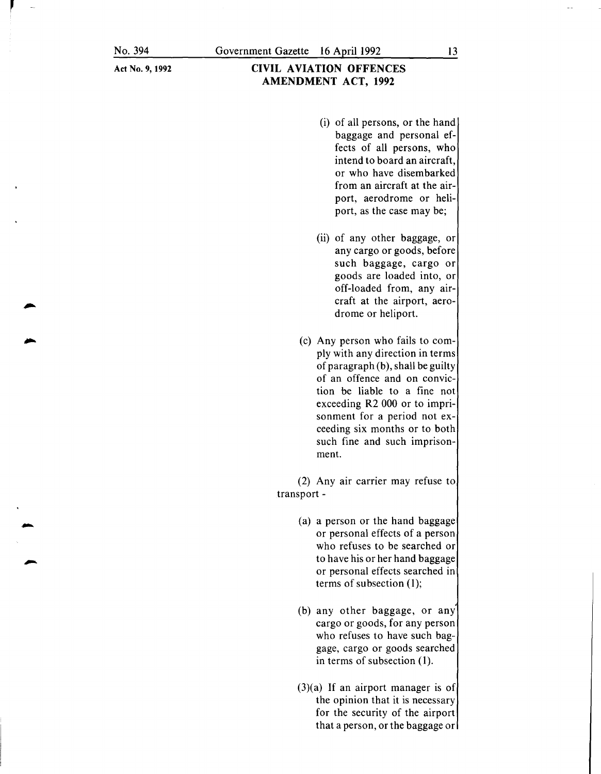- **CIVIL AVIATION OFFENCES AMENDMENT ACT, 1992** 
	- (i) of all persons, or the hand baggage and personal effects of all persons, who intend to board an aircraft, or who have disembarked from an aircraft at the airport, aerodrome or heliport, as the case may be;
	- (ii) of any other baggage, or any cargo or goods, before such baggage, cargo or goods are loaded into, or off-loaded from, any aircraft at the airport, aerodrome or heliport.
	- (c) Any person who fails to comply with any direction in terms of paragraph (b), shall be guilty of an offence and on conviction be liable to a fine not exceeding R2 000 or to imprisonment for a period not exceeding six months or to both such fine and such imprisonment.

(2) Any air carrier may refuse to transport-

- (a) a person or the hand baggage or personal effects of a person who refuses to be searched or to have his or her hand baggage or personal effects searched in terms of subsection (1);
- (b) any other baggage, or any cargo or goods, for any person who refuses to have such baggage, cargo or goods searched in terms of subsection (1).
- (3)(a) If an airport manager is of the opinion that it is necessary for the security of the airport that a person, or the baggage or

13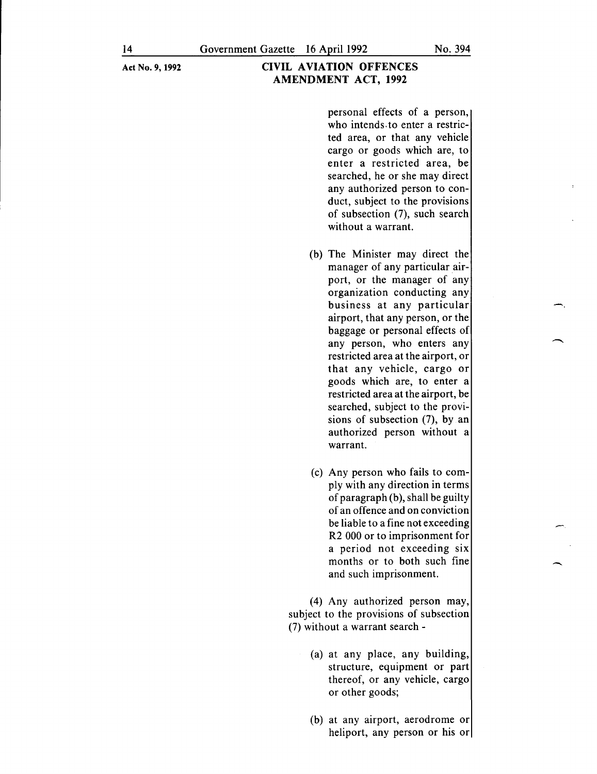personal effects of a person, who intends. to enter a restricted area, or that any vehicle cargo or goods which are, to enter a restricted area, be searched, he or she may direct any authorized person to conduct, subject to the provisions of subsection (7), such search without a warrant.

- (b) The Minister may direct the manager of any particular airport, or the manager of any organization conducting any business at any particular airport, that any person, or the baggage or personal effects of any person, who enters any restricted area at the airport, or that any vehicle, cargo or goods which are, to enter a restricted area at the airport, be searched, subject to the provisions of subsection (7), by an authorized person without a warrant.
- (c) Any person who fails to comply with any direction in terms of paragraph (b), shall be guilty of an offence and on conviction be liable to a fine not exceeding R2 000 or to imprisonment for a period not exceeding six months or to both such fine and such imprisonment.

-

(4) Any authorized person may, subject to the provisions of subsection (7) without a warrant search -

- (a) at any place, any building, structure, equipment or part thereof, or any vehicle, cargo or other goods;
- (b) at any airport, aerodrome or heliport, any person or his or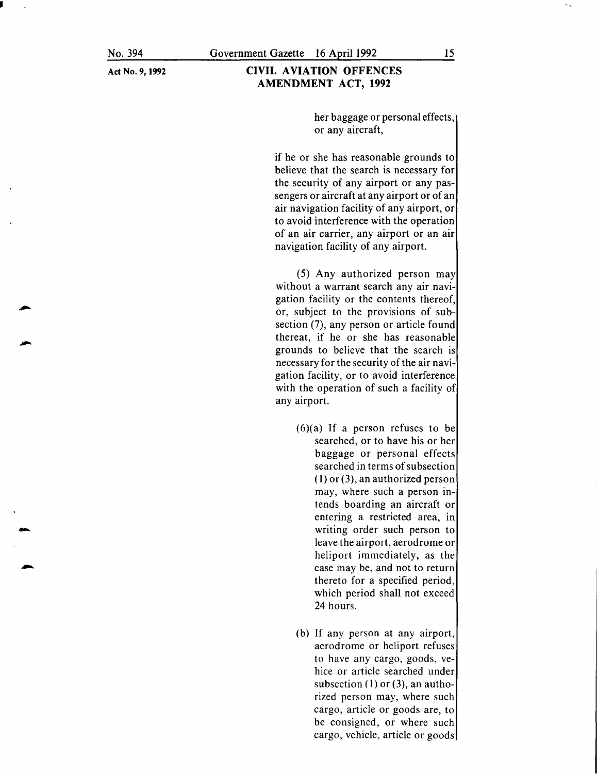J

-

### CIVIL AVIATION OFFENCES AMENDMENT ACT, 1992

her baggage or personal effects, or any aircraft,

if he or she has reasonable grounds to believe that the search is necessary for the security of any airport or any passengers or aircraft at any airport or of an air navigation facility of any airport, or to avoid interference with the operation of an air carrier, any airport or an air navigation facility of any airport.

(5) Any authorized person may without a warrant search any air navigation facility or the contents thereof, or, subject to the provisions of subsection (7), any person or article found thereat, if he or she has reasonable grounds to believe that the search is necessary for the security of the air navigation facility, or to avoid interference with the operation of such a facility of any airport.

- $(6)(a)$  If a person refuses to be searched, or to have his or her baggage or personal effects searched in terms of subsection (I) or (3 *),* an authorized person may, where such a person intends boarding an aircraft or entering a restricted area, in writing order such person to leave the airport, aerodrome or heliport immediately, as the case may be, and not to return thereto for a specified period, which period shall not exceed 24 hours.
- (b) If any person at any airport, aerodrome or heliport refuses to have any cargo, goods, vehice or article searched under subsection (I) or (3), an authorized person may, where such cargo, article or goods are, to be consigned, or where such cargo, vehicle, article or goods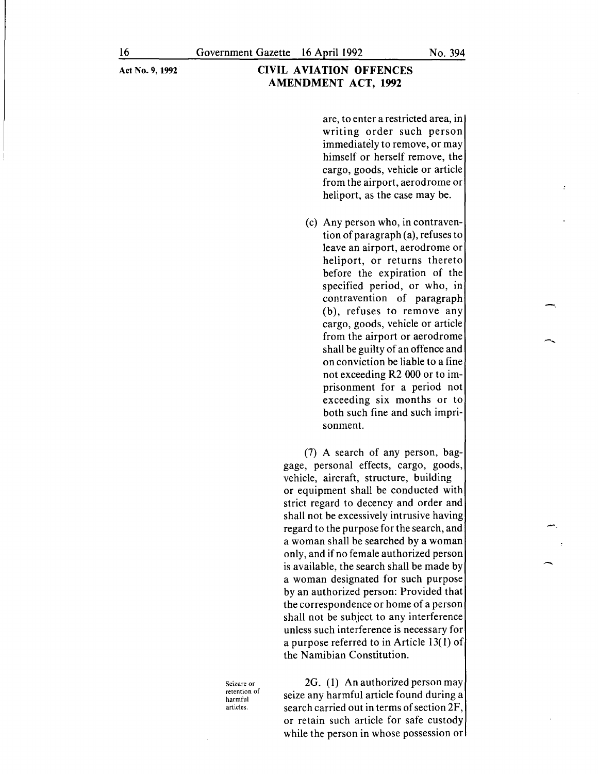are, to enter a restricted area, in writing order such person immediately to remove, or may himself or herself remove, the cargo, goods, vehicle or article from the airport, aerodrome or heliport, as the case may be.

(c) Any person who, in contravention of paragraph (a), refuses to leave an airport, aerodrome or heliport, or returns thereto before the expiration of the specified period, or who, in contravention of paragraph (b), refuses to remove any cargo, goods, vehicle or article from the airport or aerodrome shall be guilty of an offence and on conviction be liable to a fine not exceeding R2 000 or to imprisonment for a period not exceeding six months or to both such fine and such imprisonment.

(7) A search of any person, baggage, personal effects, cargo, goods, vehicle, aircraft, structure, building or equipment shall be conducted with strict regard to decency and order and shall not be excessively intrusive having regard to the purpose for the search, and a woman shall be searched by a woman only, and if no female authorized person is available, the search shall be made by a woman designated for such purpose by an authorized person: Provided that the correspondence or home of a person shall not be subject to any interference unless such interference is necessary for a purpose referred to in Article 13( 1) of the Namibian Constitution.

Seizure or retention of harmful articles.

2G. (1) An authorized person may seize any harmful article found during a search carried out in terms of section 2F, or retain such article for safe custody while the person in whose possession or -.

--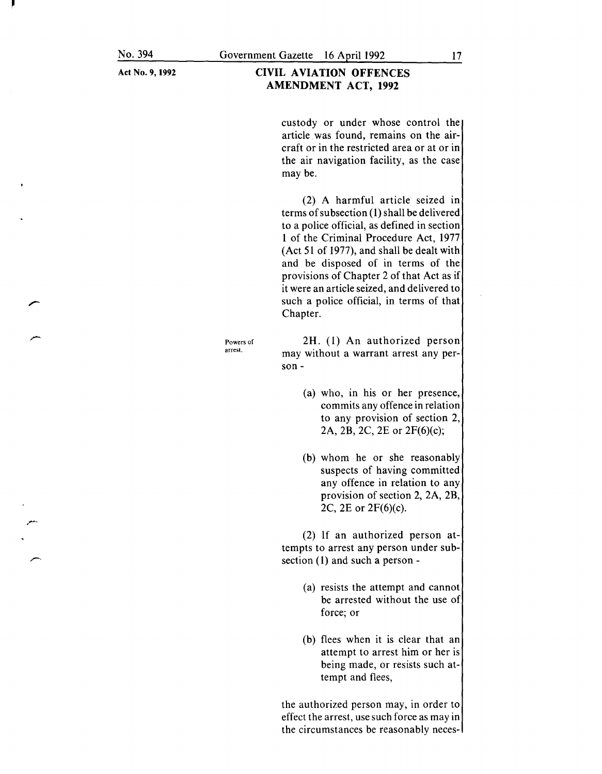r-·

Act No. 9, **1992** 

### **CIVIL AVIATION OFFENCES AMENDMENT ACT, 1992**

custody or under whose control the article was found, remains on the aircraft or in the restricted area or at or in the air navigation facility, as the case may be.

(2) A harmful article seized in terms of subsection **(1)** shall be delivered to a police official, as defined in section **1** of the Criminal Procedure Act, 1977 (Act 51 of 1977), and shall be dealt with and be disposed of in terms of the provisions of Chapter 2 of that Act as if it were an article seized, and delivered to such a police official, in terms of that Chapter.

Powers of arrest.

2H. (1) An authorized person may without a warrant arrest any person-

- (a) who, in his or her presence, commits any offence in relation to any provision of section 2, 2A, 2B, 2C, 2E or 2F(6)(c);
- (b) whom he or she reasonably suspects of having committed any offence in relation to any provision of section 2, 2A, 2B, 2C, 2E or 2F(6)(c).

(2) If an authorized person attempts to arrest any person under subsection (1) and such a person -

- (a) resists the attempt and cannot be arrested without the use of force; or
- (b) flees when it is clear that an attempt to arrest him or her is being made, or resists such attempt and flees,

the authorized person may, in order to effect the arrest, use such force as may in the circumstances be reasonably neces-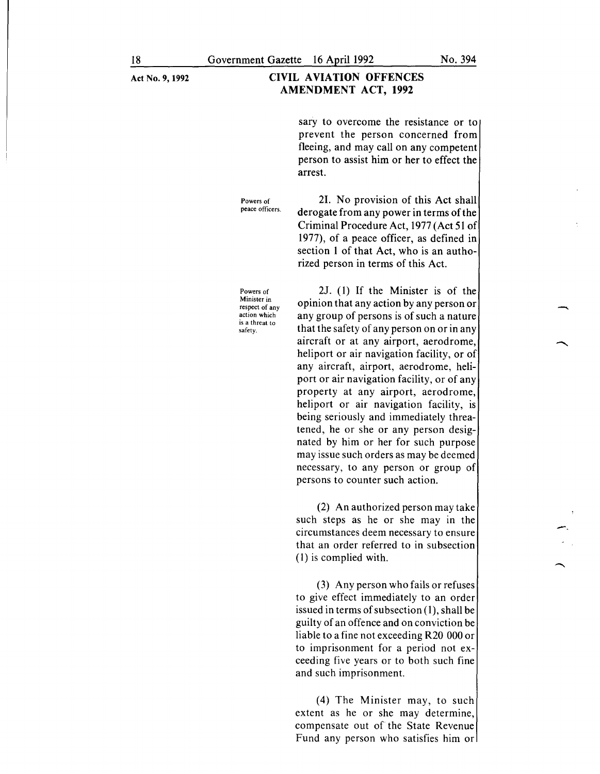#### CIVIL AVIATION OFFENCES AMENDMENT ACT, 1992

sary to overcome the resistance or to prevent the person concerned from fleeing, and may call on any competent person to assist him or her to effect the arrest.

21. No provision of this Act shall derogate from any power in terms of the Criminal Procedure Act, 1977 (Act 51 of 1977), of a peace officer, as defined in section I of that Act, who is an authorized person in terms of this Act.

Powers of peace officers.

Powers of Minister in respect of any action which is a threat to safety.

2J. (I) If the Minister is of the opinion that any action by any person or any group of persons is of such a nature that the safety of any person on or in any aircraft or at any airport, aerodrome, heliport or air navigation facility, or of any aircraft, airport, aerodrome, heliport or air navigation facility, or of any property at any airport, aerodrome, heliport or air navigation facility, is being seriously and immediately threatened, he or she or any person designated by him or her for such purpose may issue such orders as may be deemed necessary, to any person or group of persons to counter such action.

(2) An authorized person may take such steps as he or she may in the circumstances deem necessary to ensure that an order referred to in subsection (I) is complied with.

(3) Any person who fails or refuses to give effect immediately to an order issued in terms of subsection (I), shall be guilty of an offence and on conviction be liable to a fine not exceeding R20 000 or to imprisonment for a period not exceeding five years or to both such fine and such imprisonment.

(4) The Minister may, to such extent as he or she may determine, compensate out of the State Revenue Fund any person who satisfies him or -.

-<br>-<br>-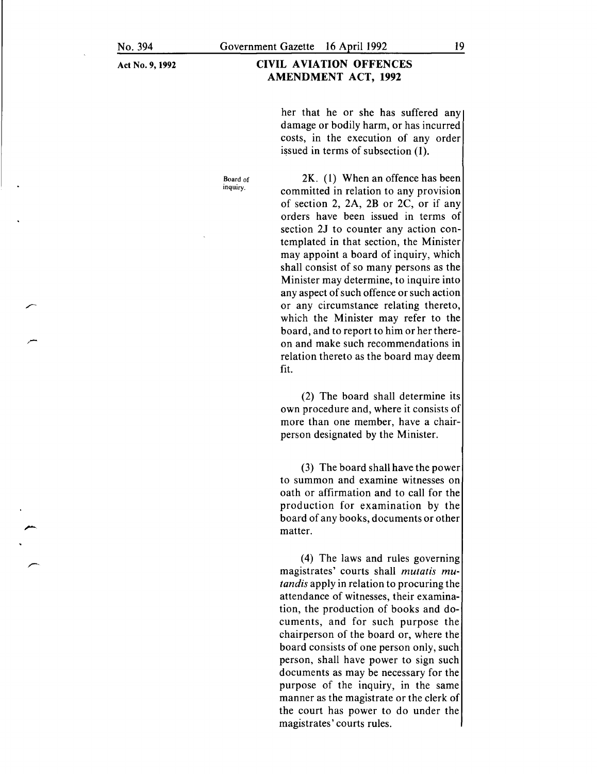Board of inquiry.

#### **CIVIL AVIATION OFFENCES AMENDMENT ACT, 1992**

her that he or she has suffered any damage or bodily harm, or has incurred costs, in the execution of any order issued in terms of subsection (1).

2K. ( **1)** When an offence has been committed in relation to any provision of section 2, 2A, 2B or 2C, or if any orders have been issued in terms of section *21* to counter any action contemplated in that section, the Minister may appoint a board of inquiry, which shall consist of so many persons as the Minister may determine, to inquire into any aspect of such offence or such action or any circumstance relating thereto, which the Minister may refer to the board, and to report to him or her thereon and make such recommendations in relation thereto as the board may deem fit.

(2) The board shall determine its own procedure and, where it consists of more than one member, have a chairperson designated by the Minister.

(3) The board shall have the power to summon and examine witnesses on oath or affirmation and to call for the production for examination by the board of any books, documents or other matter.

( 4) The laws and rules governing magistrates' courts shall *mutatis mutandis* apply in relation to procuring the attendance of witnesses, their examination, the production of books and documents, and for such purpose the chairperson of the board or, where the board consists of one person only, such person, shall have power to sign such documents as may be necessary for the purpose of the inquiry, in the same manner as the magistrate or the clerk of the court has power to do under the magistrates' courts rules.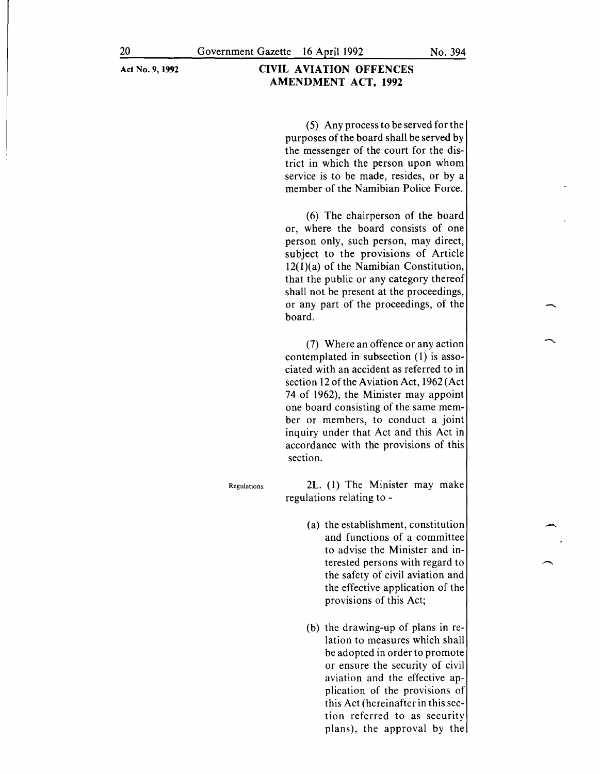(5) Any process to be served for the purposes of the board shall be served by the messenger of the court for the district in which the person upon whom service is to be made, resides, or by a member of the Namibian Police Force.

(6) The chairperson of the board or, where the board consists of one person only, such person, may direct, subject to the provisions of Article 12(l)(a) of the Namibian Constitution, that the public or any category thereof shall not be present at the proceedings, or any part of the proceedings, of the board.

(7) Where an offence or any action contemplated in subsection (1) is associated with an accident as referred to in section 12 of the Aviation Act, 1962 (Act 74 of 1962), the Minister may appoint one board consisting of the same member or members, to conduct a joint inquiry under that Act and this Act in accordance with the provisions of this section.

Regulations.

2L. (1) The Minister may make regulations relating to -

- (a) the establishment, constitution and functions of a committee to advise the Minister and interested persons with regard to the safety of civil aviation and the effective application of the provisions of this Act;
- (b) the drawing-up of plans in relation to measures which shall be adopted in order to promote or ensure the security of civil aviation and the effective application of the provisions of this Act (hereinafter in this section referred to as security plans), the approval by the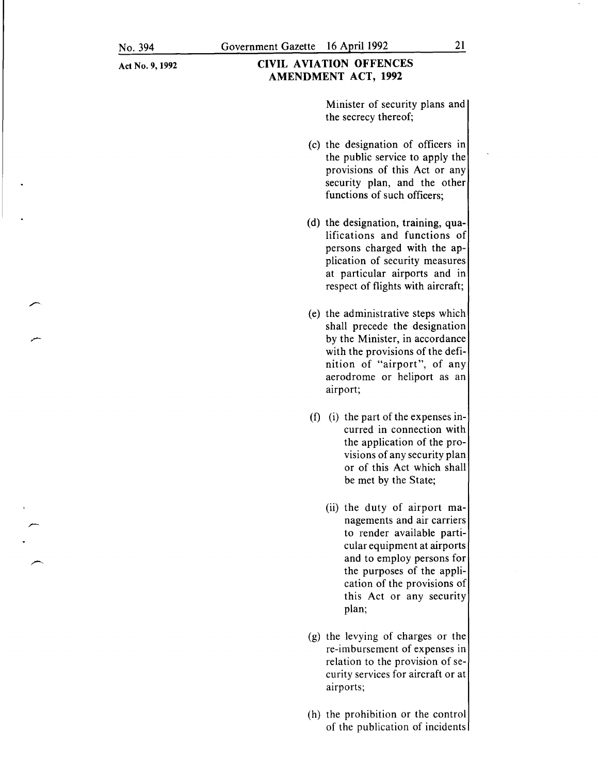#### CIVIL AVIATION OFFENCES AMENDMENT ACT, 1992

Minister of security plans and the secrecy thereof;

- (c) the designation of officers in the public service to apply the provisions of this Act or any security plan, and the other functions of such officers;
- (d) the designation, training, qualifications and functions of persons charged with the application of security measures at particular airports and in respect of flights with aircraft;
- (e) the administrative steps which shall precede the designation by the Minister, in accordance with the provisions of the definition of "airport", of any aerodrome or heliport as an airport;
- (f) (i) the part of the expenses incurred in connection with the application of the provisions of any security plan or of this Act which shall be met by the State;
	- $(ii)$  the duty of airport managements and air carriers to render available particular equipment at airports and to employ persons for the purposes of the application of the provisions of this Act or any security plan;
- (g) the levying of charges or the re-imbursement of expenses in relation to the provision of security services for aircraft or at airports;
- (h) the prohibition or the control of the publication of incidents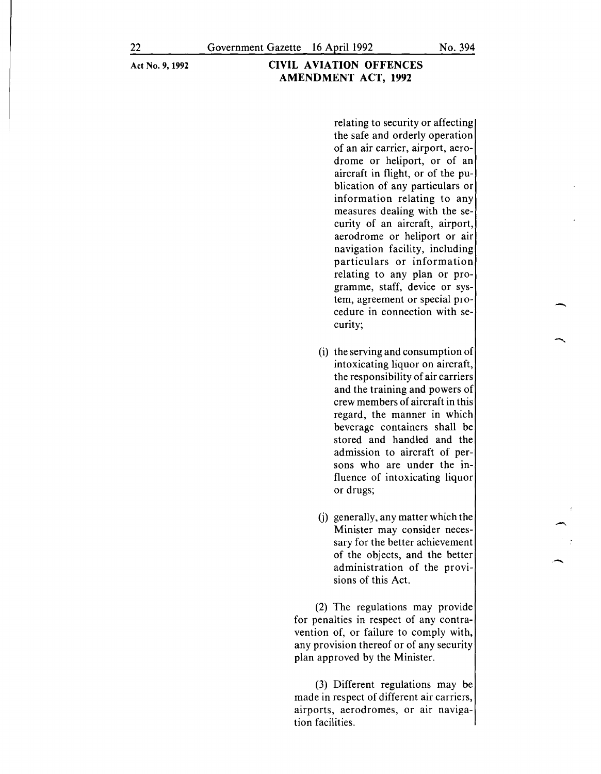relating to security or affecting the safe and orderly operation of an air carrier, airport, aerodrome or heliport, or of an aircraft in flight, or of the publication of any particulars or information relating to any measures dealing with the security of an aircraft, airport, aerodrome or heliport or air navigation facility, including particulars or information relating to any plan or programme, staff, device or system, agreement or special procedure in connection with security;

- (i) the serving and consumption of intoxicating liquor on aircraft, the responsibility of air carriers and the training and powers of crew members of aircraft in this regard, the manner in which beverage containers shall be stored and handled and the admission to aircraft of persons who are under the influence of intoxicating liquor or drugs;
- (j) generally, any matter which the Minister may consider necessary for the better achievement of the objects, and the better administration of the provisions of this Act.

(2) The regulations may provide for penalties in respect of any contravention of, or failure to comply with, any provision thereof or of any security plan approved by the Minister.

(3) Different regulations may be made in respect of different air carriers, **airports, aerodromes, or air naviga**tion facilities.

-

--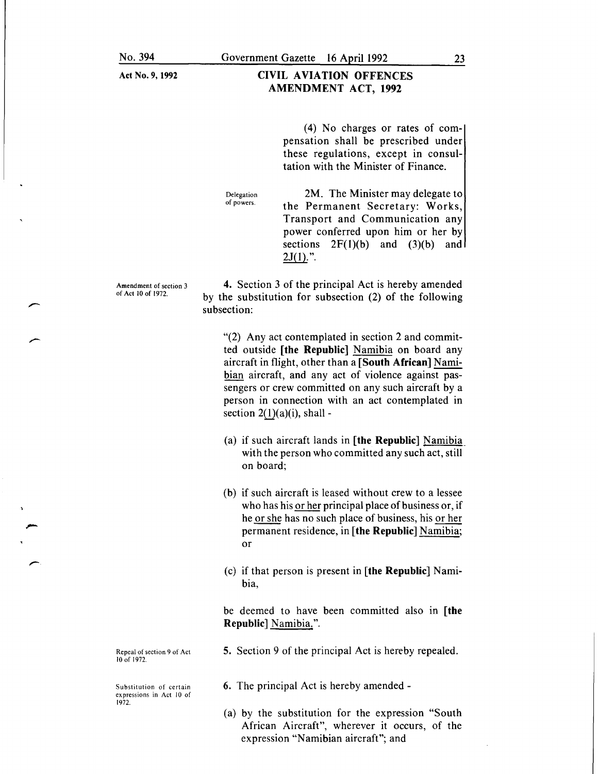#### CIVIL AVIATION OFFENCES AMENDMENT ACT, 1992

(4) No charges or rates of compensation shall be prescribed under these regulations, except in consultation with the Minister of Finance.

Delegation of powers.

2M. The Minister may delegate to the Permanent Secretary: Works, Transport and Communication any power conferred upon him or her by sections  $2F(1)(b)$  and  $(3)(b)$  and  $2J(1)."$ .

Amendment of section 3 of Act 10 of 1972.

 $\overline{\phantom{a}}$ 

4. Section 3 of the principal Act is hereby amended by the substitution for subsection (2) of the following subsection:

"(2) Any act contemplated in section 2 and committed outside [the Republic] Namibia on board any aircraft in flight, other than a  $[$ South African $]$  Namibian aircraft, and any act of violence against passengers or crew committed on any such aircraft by a person in connection with an act contemplated in section  $2(1)(a)(i)$ , shall -

- (a) if such aircraft lands in [the Republic] Namibia\_ with the person who committed any such act, still on board;
- (b) if such aircraft is leased without crew to a lessee who has his or her principal place of business or, if he or she has no such place of business, his or her permanent residence, in [the Republic] Namibia; or
- (c) if that person is present in [the Republic] Namibia,

be deemed to have been committed also in [the Republic] Namibia.".

Repeal of section 9 of Act 10 of 1972.

Substitution of certain expressions in Act 10 of 1972.

- 5. Section 9 of the principal Act is hereby repealed.
- 6. The principal Act is hereby amended -
- (a) by the substitution for the expression "South African Aircraft", wherever it occurs, of the expression "Namibian aircraft"; and